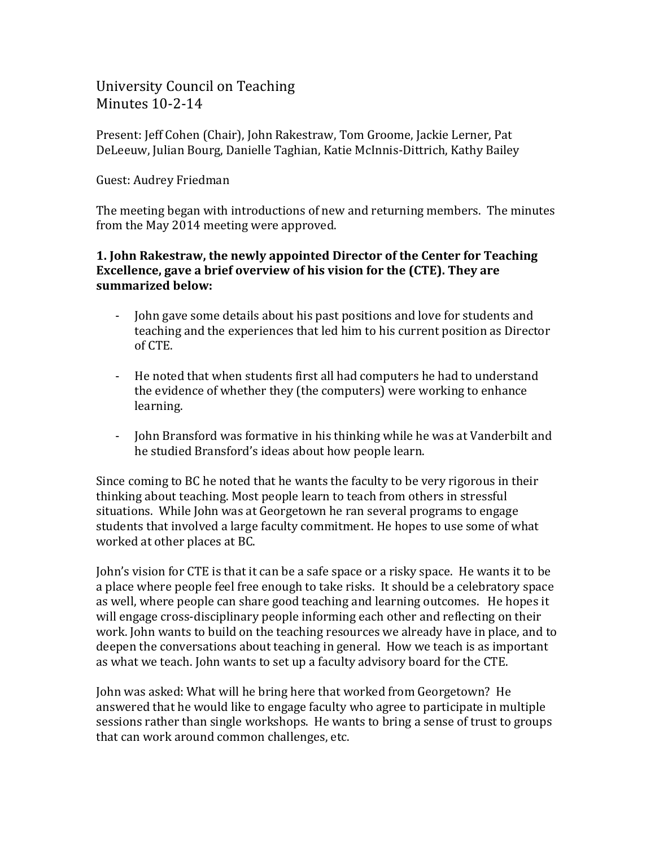# University Council on Teaching Minutes 10-2-14

Present: Jeff Cohen (Chair), John Rakestraw, Tom Groome, Jackie Lerner, Pat DeLeeuw, Julian Bourg, Danielle Taghian, Katie McInnis-Dittrich, Kathy Bailey

#### Guest: Audrey Friedman

The meeting began with introductions of new and returning members. The minutes from the May 2014 meeting were approved.

### **1. John Rakestraw, the newly appointed Director of the Center for Teaching Excellence, gave a brief overview of his vision for the (CTE). They are summarized below:**

- John gave some details about his past positions and love for students and teaching and the experiences that led him to his current position as Director of CTE.
- He noted that when students first all had computers he had to understand the evidence of whether they (the computers) were working to enhance learning.
- John Bransford was formative in his thinking while he was at Vanderbilt and he studied Bransford's ideas about how people learn.

Since coming to BC he noted that he wants the faculty to be very rigorous in their thinking about teaching. Most people learn to teach from others in stressful situations. While John was at Georgetown he ran several programs to engage students that involved a large faculty commitment. He hopes to use some of what worked at other places at BC.

John's vision for CTE is that it can be a safe space or a risky space. He wants it to be a place where people feel free enough to take risks. It should be a celebratory space as well, where people can share good teaching and learning outcomes. He hopes it will engage cross-disciplinary people informing each other and reflecting on their work. John wants to build on the teaching resources we already have in place, and to deepen the conversations about teaching in general. How we teach is as important as what we teach. John wants to set up a faculty advisory board for the CTE.

John was asked: What will he bring here that worked from Georgetown? He answered that he would like to engage faculty who agree to participate in multiple sessions rather than single workshops. He wants to bring a sense of trust to groups that can work around common challenges, etc.